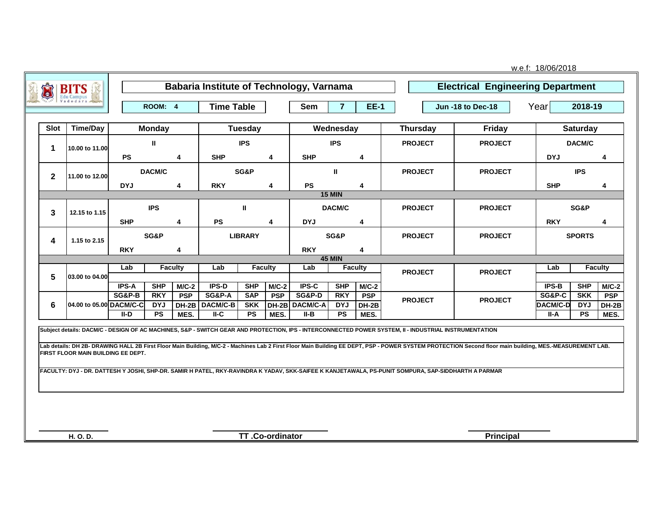| U                    | <b>BITS</b>                        |                                   |                          |                       |                                   |                          |                         | <b>Babaria Institute of Technology, Varnama</b> |                          |                       |                                                                                                                                                                                                                                                                                                                                                                                                                                                                                                                          | <b>Electrical Engineering Department</b> | w.e.f: 18/06/2018      |                          |                       |
|----------------------|------------------------------------|-----------------------------------|--------------------------|-----------------------|-----------------------------------|--------------------------|-------------------------|-------------------------------------------------|--------------------------|-----------------------|--------------------------------------------------------------------------------------------------------------------------------------------------------------------------------------------------------------------------------------------------------------------------------------------------------------------------------------------------------------------------------------------------------------------------------------------------------------------------------------------------------------------------|------------------------------------------|------------------------|--------------------------|-----------------------|
|                      |                                    |                                   | ROOM: 4                  |                       | <b>Time Table</b>                 |                          |                         | Sem                                             | $\overline{7}$           | <b>EE-1</b>           |                                                                                                                                                                                                                                                                                                                                                                                                                                                                                                                          | <b>Jun -18 to Dec-18</b>                 | Year                   | 2018-19                  |                       |
| <b>Slot</b>          | <b>Time/Day</b>                    |                                   | <b>Monday</b>            |                       |                                   | <b>Tuesday</b>           |                         |                                                 | Wednesday                |                       | <b>Thursday</b>                                                                                                                                                                                                                                                                                                                                                                                                                                                                                                          | <b>Friday</b>                            |                        | <b>Saturday</b>          |                       |
| $\blacktriangleleft$ | 10.00 to 11.00                     |                                   | Ш                        |                       |                                   | <b>IPS</b>               |                         |                                                 | <b>IPS</b>               |                       | <b>PROJECT</b>                                                                                                                                                                                                                                                                                                                                                                                                                                                                                                           | <b>PROJECT</b>                           |                        | DACM/C                   |                       |
|                      |                                    | <b>PS</b><br>4                    |                          | <b>SHP</b>            |                                   | 4                        | <b>SHP</b>              |                                                 | 4                        |                       |                                                                                                                                                                                                                                                                                                                                                                                                                                                                                                                          | <b>DYJ</b>                               |                        | 4                        |                       |
| $\mathbf{2}$         | 11.00 to 12.00                     | DACM/C                            |                          |                       |                                   | SG&P                     |                         |                                                 | Ш.                       |                       | <b>PROJECT</b>                                                                                                                                                                                                                                                                                                                                                                                                                                                                                                           | <b>PROJECT</b>                           |                        | <b>IPS</b>               |                       |
|                      |                                    | <b>DYJ</b>                        |                          | 4                     | <b>RKY</b>                        |                          | 4                       | <b>PS</b>                                       |                          | 4                     |                                                                                                                                                                                                                                                                                                                                                                                                                                                                                                                          |                                          | <b>SHP</b>             |                          | 4                     |
|                      |                                    |                                   |                          |                       |                                   |                          |                         |                                                 | <b>15 MIN</b>            |                       |                                                                                                                                                                                                                                                                                                                                                                                                                                                                                                                          |                                          |                        |                          |                       |
| 3<br>12.15 to 1.15   |                                    |                                   | <b>IPS</b>               |                       |                                   | $\mathbf{u}$             |                         |                                                 | DACM/C                   |                       | <b>PROJECT</b>                                                                                                                                                                                                                                                                                                                                                                                                                                                                                                           | <b>PROJECT</b>                           |                        | SG&P                     |                       |
|                      |                                    | <b>SHP</b>                        |                          | 4                     | <b>PS</b>                         |                          | $\overline{\mathbf{4}}$ | <b>DYJ</b>                                      |                          | 4                     |                                                                                                                                                                                                                                                                                                                                                                                                                                                                                                                          |                                          | <b>RKY</b>             |                          | 4                     |
| 4                    | 1.15 to 2.15                       | SG&P                              |                          |                       |                                   | <b>LIBRARY</b>           |                         |                                                 | SG&P                     |                       | <b>PROJECT</b>                                                                                                                                                                                                                                                                                                                                                                                                                                                                                                           | <b>PROJECT</b>                           |                        | <b>SPORTS</b>            |                       |
|                      |                                    | <b>RKY</b>                        |                          | 4                     |                                   |                          |                         | <b>RKY</b>                                      | <b>45 MIN</b>            | 4                     |                                                                                                                                                                                                                                                                                                                                                                                                                                                                                                                          |                                          |                        |                          |                       |
|                      |                                    | Lab<br><b>Faculty</b>             |                          | Lab<br><b>Faculty</b> |                                   |                          | Lab                     | <b>Faculty</b>                                  |                          | <b>PROJECT</b>        | <b>PROJECT</b>                                                                                                                                                                                                                                                                                                                                                                                                                                                                                                           | Lab                                      |                        | <b>Faculty</b>           |                       |
| 5                    | 03.00 to 04.00                     |                                   |                          |                       |                                   |                          |                         |                                                 |                          |                       |                                                                                                                                                                                                                                                                                                                                                                                                                                                                                                                          |                                          |                        |                          |                       |
|                      |                                    | <b>IPS-A</b><br><b>SG&amp;P-B</b> | <b>SHP</b><br><b>RKY</b> | $M/C-2$<br><b>PSP</b> | <b>IPS-D</b><br><b>SG&amp;P-A</b> | <b>SHP</b><br><b>SAP</b> | $M/C-2$<br><b>PSP</b>   | IPS-C<br><b>SG&amp;P-D</b>                      | <b>SHP</b><br><b>RKY</b> | $M/C-2$<br><b>PSP</b> |                                                                                                                                                                                                                                                                                                                                                                                                                                                                                                                          |                                          | <b>IPS-B</b><br>SG&P-C | <b>SHP</b><br><b>SKK</b> | $M/C-2$<br><b>PSP</b> |
| 6                    | 04.00 to 05.00 DACM/C-C            |                                   | <b>DYJ</b>               | DH-2B                 | DACM/C-B                          | <b>SKK</b>               | DH-2B                   | DACM/C-A                                        | <b>DYJ</b>               | DH-2B                 | <b>PROJECT</b>                                                                                                                                                                                                                                                                                                                                                                                                                                                                                                           | <b>PROJECT</b>                           | <b>DACM/C-D</b>        | <b>DYJ</b>               | DH-2B                 |
|                      |                                    | II-D                              | PS                       | MES.                  | $II-C$                            | PS                       | MES.                    | II-B                                            | PS                       | MES.                  |                                                                                                                                                                                                                                                                                                                                                                                                                                                                                                                          |                                          | II-A                   | <b>PS</b>                | MES.                  |
|                      | FIRST FLOOR MAIN BUILDING EE DEPT. |                                   |                          |                       |                                   |                          |                         |                                                 |                          |                       | Subject details: DACM/C - DESIGN OF AC MACHINES, S&P - SWITCH GEAR AND PROTECTION, IPS - INTERCONNECTED POWER SYSTEM, II - INDUSTRIAL INSTRUMENTATION<br>Lab details: DH 2B- DRAWING HALL 2B First Floor Main Building, M/C-2 - Machines Lab 2 First Floor Main Building EE DEPT, PSP - POWER SYSTEM PROTECTION Second floor main building, MES.-MEASUREMENT LAB.<br>FACULTY: DYJ - DR. DATTESH Y JOSHI, SHP-DR. SAMIR H PATEL, RKY-RAVINDRA K YADAV, SKK-SAIFEE K KANJETAWALA, PS-PUNIT SOMPURA, SAP-SIDDHARTH A PARMAR |                                          |                        |                          |                       |
|                      | H. O. D.                           |                                   |                          |                       |                                   |                          | TT.Co-ordinator         |                                                 |                          |                       |                                                                                                                                                                                                                                                                                                                                                                                                                                                                                                                          | Principal                                |                        |                          |                       |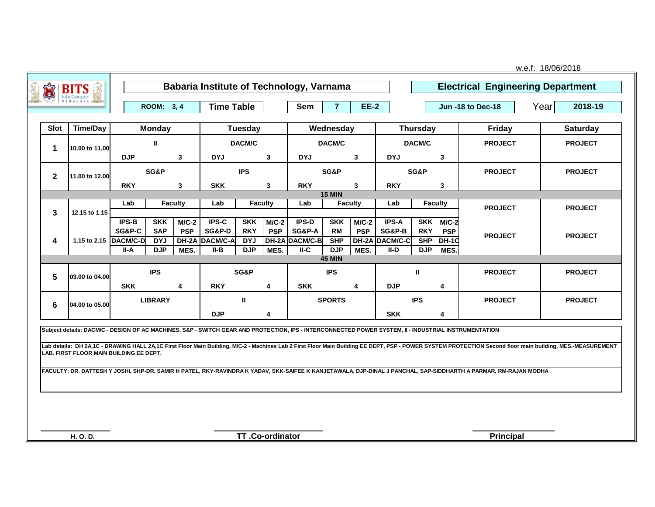| J            | <b>BITS</b>                                                                                                                                           |            |                          |                | Babaria Institute of Technology, Varnama |                          |            |                                     |                         |                |                          |                          |                            | <b>Electrical Engineering Department</b>                                                                                                                                                                   |                |                 |
|--------------|-------------------------------------------------------------------------------------------------------------------------------------------------------|------------|--------------------------|----------------|------------------------------------------|--------------------------|------------|-------------------------------------|-------------------------|----------------|--------------------------|--------------------------|----------------------------|------------------------------------------------------------------------------------------------------------------------------------------------------------------------------------------------------------|----------------|-----------------|
|              |                                                                                                                                                       |            | ROOM: 3, 4               |                | <b>Time Table</b>                        |                          |            | <b>Sem</b>                          | $\overline{7}$          | <b>EE-2</b>    |                          |                          |                            | <b>Jun -18 to Dec-18</b>                                                                                                                                                                                   | Year           | 2018-19         |
| Slot         | <b>Time/Day</b>                                                                                                                                       |            | <b>Monday</b>            |                |                                          | <b>Tuesday</b>           |            |                                     | Wednesday               |                |                          | <b>Thursday</b>          |                            | <b>Friday</b>                                                                                                                                                                                              |                | <b>Saturday</b> |
| 1            | 10.00 to 11.00                                                                                                                                        |            | Ш                        |                | DACM/C                                   |                          |            | DACM/C                              |                         |                |                          | DACM/C                   |                            | <b>PROJECT</b>                                                                                                                                                                                             |                | <b>PROJECT</b>  |
|              |                                                                                                                                                       | <b>DJP</b> |                          | $\mathbf{3}$   | <b>DYJ</b><br>3                          |                          |            | <b>DYJ</b>                          |                         | 3              | <b>DYJ</b>               |                          | 3                          |                                                                                                                                                                                                            |                |                 |
| $\mathbf{2}$ | 11.00 to 12.00                                                                                                                                        | SG&P       |                          |                | <b>IPS</b>                               |                          |            | SG&P                                |                         |                | SG&P                     |                          | <b>PROJECT</b>             |                                                                                                                                                                                                            | <b>PROJECT</b> |                 |
|              |                                                                                                                                                       | <b>RKY</b> |                          | 3              | <b>SKK</b><br>3                          |                          |            | <b>RKY</b>                          |                         | 3              | <b>RKY</b>               |                          | 3                          |                                                                                                                                                                                                            |                |                 |
|              |                                                                                                                                                       | Lab        |                          | <b>Faculty</b> | Lab                                      |                          | Faculty    | Lab                                 | <b>15 MIN</b>           | <b>Faculty</b> | Lab                      | Faculty                  |                            |                                                                                                                                                                                                            |                |                 |
| 3            | 12.15 to 1.15                                                                                                                                         |            |                          |                |                                          |                          |            |                                     |                         |                |                          |                          |                            | <b>PROJECT</b>                                                                                                                                                                                             |                | <b>PROJECT</b>  |
|              |                                                                                                                                                       | IPS-B      | <b>SKK</b>               | $M/C-2$        | IPS-C                                    | <b>SKK</b>               | $M/C-2$    | IPS-D                               | <b>SKK</b>              | $M/C-2$        | IPS-A                    | <b>SKK</b>               | $M/C-2$                    |                                                                                                                                                                                                            |                |                 |
| 4            | 1.15 to 2.15 DACM/C-D                                                                                                                                 | SG&P-C     | <b>SAP</b><br><b>DYJ</b> | <b>PSP</b>     | <b>SG&amp;P-D</b><br>DH-2A DACM/C-A      | <b>RKY</b><br><b>DYJ</b> | <b>PSP</b> | <b>SG&amp;P-A</b><br>DH-2A DACM/C-B | <b>RM</b><br><b>SHP</b> | <b>PSP</b>     | SG&P-B<br>DH-2A DACM/C-C | <b>RKY</b><br><b>SHP</b> | <b>PSP</b><br><b>DH-10</b> | <b>PROJECT</b>                                                                                                                                                                                             |                | <b>PROJECT</b>  |
|              |                                                                                                                                                       | II-A       | <b>DJP</b>               | MES.           | II-B                                     | <b>DJP</b>               | MES.       | $II-C$                              | <b>DJP</b>              | MES.           | II-D                     | <b>DJP</b>               | MES.                       |                                                                                                                                                                                                            |                |                 |
|              |                                                                                                                                                       |            |                          |                |                                          |                          |            |                                     | <b>45 MIN</b>           |                |                          |                          |                            |                                                                                                                                                                                                            |                |                 |
| 5            | 03.00 to 04.00                                                                                                                                        | <b>IPS</b> |                          |                | SG&P                                     |                          |            | <b>IPS</b>                          |                         |                |                          | $\mathbf{H}$             |                            | <b>PROJECT</b>                                                                                                                                                                                             |                | <b>PROJECT</b>  |
|              |                                                                                                                                                       | <b>SKK</b> |                          | 4              | <b>RKY</b>                               |                          | 4          | <b>SKK</b>                          |                         | 4              | <b>DJP</b>               |                          | $\overline{\mathbf{4}}$    |                                                                                                                                                                                                            |                |                 |
| 6            | 04.00 to 05.00                                                                                                                                        |            | <b>LIBRARY</b>           |                |                                          | Ш                        |            |                                     | <b>SPORTS</b>           |                |                          | <b>IPS</b>               |                            | <b>PROJECT</b>                                                                                                                                                                                             |                | <b>PROJECT</b>  |
|              |                                                                                                                                                       |            |                          |                | <b>DJP</b>                               |                          | 4          |                                     |                         |                | <b>SKK</b>               |                          | 4                          |                                                                                                                                                                                                            |                |                 |
|              | Subject details: DACM/C - DESIGN OF AC MACHINES, S&P - SWITCH GEAR AND PROTECTION, IPS - INTERCONNECTED POWER SYSTEM, II - INDUSTRIAL INSTRUMENTATION |            |                          |                |                                          |                          |            |                                     |                         |                |                          |                          |                            |                                                                                                                                                                                                            |                |                 |
|              |                                                                                                                                                       |            |                          |                |                                          |                          |            |                                     |                         |                |                          |                          |                            | Lab details: DH 2A.1C - DRAWING HALL 2A.1C First Floor Main Building, M/C-2 - Machines Lab 2 First Floor Main Building EE DEPT, PSP - POWER SYSTEM PROTECTION Second floor main building, MES.-MEASUREMENT |                |                 |
|              | LAB. FIRST FLOOR MAIN BUILDING EE DEPT.                                                                                                               |            |                          |                |                                          |                          |            |                                     |                         |                |                          |                          |                            |                                                                                                                                                                                                            |                |                 |
|              |                                                                                                                                                       |            |                          |                |                                          |                          |            |                                     |                         |                |                          |                          |                            | FACULTY: DR. DATTESH Y JOSHI, SHP-DR. SAMIR H PATEL, RKY-RAVINDRA K YADAV, SKK-SAIFEE K KANJETAWALA, DJP-DINAL J PANCHAL, SAP-SIDDHARTH A PARMAR, RM-RAJAN MODHA                                           |                |                 |
|              |                                                                                                                                                       |            |                          |                |                                          |                          |            |                                     |                         |                |                          |                          |                            |                                                                                                                                                                                                            |                |                 |
|              |                                                                                                                                                       |            |                          |                |                                          |                          |            |                                     |                         |                |                          |                          |                            |                                                                                                                                                                                                            |                |                 |
|              |                                                                                                                                                       |            |                          |                |                                          |                          |            |                                     |                         |                |                          |                          |                            |                                                                                                                                                                                                            |                |                 |
|              |                                                                                                                                                       |            |                          |                |                                          |                          |            |                                     |                         |                |                          |                          |                            |                                                                                                                                                                                                            |                |                 |
|              | H. O. D.                                                                                                                                              |            |                          |                |                                          | TT.Co-ordinator          |            |                                     |                         |                |                          |                          |                            | <b>Principal</b>                                                                                                                                                                                           |                |                 |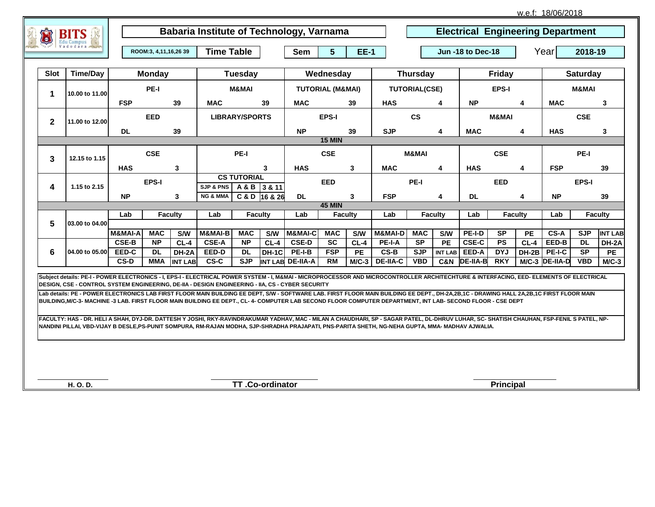w.e.f: 18/06/2018

|              |                                                                                                                                                                                                                                                                                                                                                        |                       |                       |                       |                                                 | Babaria Institute of Technology, Varnama |            |                    |                             |                 |                 |                        | <b>Electrical Engineering Department</b> |                   |                  |                 |                |            |                |  |
|--------------|--------------------------------------------------------------------------------------------------------------------------------------------------------------------------------------------------------------------------------------------------------------------------------------------------------------------------------------------------------|-----------------------|-----------------------|-----------------------|-------------------------------------------------|------------------------------------------|------------|--------------------|-----------------------------|-----------------|-----------------|------------------------|------------------------------------------|-------------------|------------------|-----------------|----------------|------------|----------------|--|
|              |                                                                                                                                                                                                                                                                                                                                                        |                       | ROOM:3, 4,11,16,26 39 |                       | <b>Time Table</b>                               |                                          |            | <b>Sem</b>         | $5\phantom{.0}$<br>$EE-1$   |                 |                 |                        |                                          | Jun -18 to Dec-18 |                  | Year<br>2018-19 |                |            |                |  |
| <b>Slot</b>  | Time/Day                                                                                                                                                                                                                                                                                                                                               |                       | <b>Monday</b>         |                       |                                                 | <b>Tuesday</b>                           |            | Wednesday          |                             | <b>Thursday</b> |                 | <b>Friday</b>          |                                          |                   | <b>Saturday</b>  |                 |                |            |                |  |
| 1            | 10.00 to 11.00                                                                                                                                                                                                                                                                                                                                         | PE-I                  |                       |                       |                                                 | M&MAI                                    |            |                    | <b>TUTORIAL (M&amp;MAI)</b> |                 |                 | <b>TUTORIAL(CSE)</b>   |                                          |                   | <b>EPS-I</b>     |                 |                | M&MAI      |                |  |
|              |                                                                                                                                                                                                                                                                                                                                                        | <b>FSP</b><br>39      |                       |                       | <b>MAC</b><br>39                                |                                          |            | <b>MAC</b>         |                             | 39              | <b>HAS</b>      |                        | 4                                        | <b>NP</b>         |                  | 4               | <b>MAC</b>     |            | $\mathbf{3}$   |  |
| $\mathbf{2}$ | 11.00 to 12.00                                                                                                                                                                                                                                                                                                                                         | <b>EED</b>            |                       |                       | <b>LIBRARY/SPORTS</b>                           |                                          |            |                    | EPS-I                       |                 |                 | $\mathbf{c}\mathbf{s}$ |                                          |                   | <b>M&amp;MAI</b> |                 |                | <b>CSE</b> |                |  |
|              |                                                                                                                                                                                                                                                                                                                                                        | <b>DL</b><br>39       |                       |                       |                                                 |                                          |            |                    | 39                          | <b>SJP</b>      |                 | 4                      | <b>MAC</b>                               |                   |                  | <b>HAS</b>      |                | 3          |                |  |
|              |                                                                                                                                                                                                                                                                                                                                                        |                       |                       |                       |                                                 |                                          |            |                    | <b>15 MIN</b>               |                 |                 |                        |                                          |                   |                  |                 |                |            |                |  |
| 3            | 12.15 to 1.15                                                                                                                                                                                                                                                                                                                                          | <b>CSE</b>            |                       |                       | PE-I                                            |                                          |            | <b>CSE</b>         |                             |                 |                 | <b>M&amp;MAI</b>       |                                          |                   | <b>CSE</b>       |                 |                | PE-I       |                |  |
|              | <b>HAS</b><br>3                                                                                                                                                                                                                                                                                                                                        |                       |                       | 3                     |                                                 |                                          | <b>HAS</b> |                    | $\mathbf{3}$                | <b>MAC</b>      | 4               |                        | <b>HAS</b>                               |                   | 4                | <b>FSP</b>      |                | 39         |                |  |
| 4            | 1.15 to 2.15                                                                                                                                                                                                                                                                                                                                           | EPS-I                 |                       |                       | <b>CS TUTORIAL</b><br>SJP & PNS<br>A & B 3 & 11 |                                          |            | <b>EED</b>         |                             |                 |                 | PE-I                   |                                          |                   | <b>EED</b>       |                 |                | EPS-I      |                |  |
|              |                                                                                                                                                                                                                                                                                                                                                        | <b>NP</b>             |                       | 3                     | <b>NG &amp; MMA</b>                             | C & D 16 & 26                            |            | <b>DL</b>          |                             | 3               | <b>FSP</b>      |                        | 4                                        | <b>DL</b>         |                  | 4               | <b>NP</b>      |            | 39             |  |
|              |                                                                                                                                                                                                                                                                                                                                                        |                       |                       |                       |                                                 |                                          |            |                    | <b>45 MIN</b>               |                 |                 |                        |                                          |                   |                  |                 |                |            |                |  |
|              | 03.00 to 04.00                                                                                                                                                                                                                                                                                                                                         | Lab<br><b>Faculty</b> |                       | Lab<br><b>Faculty</b> |                                                 | Lab<br><b>Faculty</b>                    |            | Lab                |                             | <b>Faculty</b>  | Lab             |                        | <b>Faculty</b>                           | Lab               |                  | <b>Faculty</b>  |                |            |                |  |
| 5            |                                                                                                                                                                                                                                                                                                                                                        | <b>M&amp;MAI-A</b>    | <b>MAC</b>            | S/W                   | M&MAI-B                                         | <b>MAC</b>                               | <b>S/W</b> | <b>M&amp;MAI-C</b> | <b>MAC</b>                  | S/W             | M&MAI-D         | <b>MAC</b>             | S/W                                      | PE-I-D            | <b>SP</b>        | <b>PE</b>       | CS-A           | <b>SJP</b> | <b>INT LAB</b> |  |
|              |                                                                                                                                                                                                                                                                                                                                                        | CSE-B                 | <b>NP</b>             | $CL-4$                | <b>CSE-A</b>                                    | <b>NP</b>                                | $CL-4$     | <b>CSE-D</b>       | <b>SC</b>                   | $CL-4$          | PE-I-A          | <b>SP</b>              | PE                                       | <b>CSE-C</b>      | <b>PS</b>        | $CL-4$          | EED-B          | <b>DL</b>  | DH-2A          |  |
| 6            | 04.00 to 05.00                                                                                                                                                                                                                                                                                                                                         | EED-C                 | <b>DL</b>             | DH-2A                 | EED-D                                           | <b>DL</b>                                | DH-1C      | $PE-I-B$           | <b>FSP</b>                  | PE              | CS-B            | <b>SJP</b>             | <b>INT LAB</b>                           | EED-A             | <b>DYJ</b>       | DH-2B           | PE-I-C         | <b>SP</b>  | <b>PE</b>      |  |
|              |                                                                                                                                                                                                                                                                                                                                                        | CS-D                  | <b>MMA</b>            | <b>INT LAB</b>        | CS-C                                            | <b>SJP</b>                               |            | INT LAB DE-IIA-A   | <b>RM</b>                   | $M/C-3$         | <b>DE-IIA-C</b> | <b>VBD</b>             | C&N                                      | <b>DE-IIA-B</b>   | <b>RKY</b>       |                 | M/C-3 DE-IIA-D | <b>VBD</b> | $MC-3$         |  |
|              | Subject details: PE-I - POWER ELECTRONICS - I, EPS-I - ELECTRICAL POWER SYSTEM - I, M&MAI - MICROPROCESSOR AND MICROCONTROLLER ARCHITECHTURE & INTERFACING, EED- ELEMENTS OF ELECTRICAL<br>DESIGN, CSE - CONTROL SYSTEM ENGINEERING, DE-IIA - DESIGN ENGINEERING - IIA, CS - CYBER SECURITY                                                            |                       |                       |                       |                                                 |                                          |            |                    |                             |                 |                 |                        |                                          |                   |                  |                 |                |            |                |  |
|              | Lab details: PE - POWER ELECTRONICS LAB FIRST FLOOR MAIN BUILDING EE DEPT, S/W - SOFTWARE LAB. FIRST FLOOR MAIN BUILDING EE DEPT., DH-2A,2B,1C - DRAWING HALL 2A,2B,1C FIRST FLOOR MAIN<br>BUILDING, M/C-3- MACHINE -3 LAB. FIRST FLOOR MAIN BUILDING EE DEPT., CL- 4- COMPUTER LAB SECOND FLOOR COMPUTER DEPARTMENT, INT LAB- SECOND FLOOR - CSE DEPT |                       |                       |                       |                                                 |                                          |            |                    |                             |                 |                 |                        |                                          |                   |                  |                 |                |            |                |  |
|              | FACULTY: HAS - DR. HELI A SHAH, DYJ-DR. DATTESH Y JOSHI, RKY-RAVINDRAKUMAR YADHAV, MAC - MILAN A CHAUDHARI, SP - SAGAR PATEL, DL-DHRUV LUHAR, SC- SHATISH CHAUHAN, FSP-FENIL S PATEL, NP-<br>NANDINI PILLAI, VBD-VIJAY B DESLE,PS-PUNIT SOMPURA, RM-RAJAN MODHA, SJP-SHRADHA PRAJAPATI, PNS-PARITA SHETH, NG-NEHA GUPTA, MMA- MADHAV AJWALIA.          |                       |                       |                       |                                                 |                                          |            |                    |                             |                 |                 |                        |                                          |                   |                  |                 |                |            |                |  |
|              |                                                                                                                                                                                                                                                                                                                                                        |                       |                       |                       |                                                 |                                          |            |                    |                             |                 |                 |                        |                                          |                   |                  |                 |                |            |                |  |
|              | H. O. D.                                                                                                                                                                                                                                                                                                                                               |                       |                       |                       |                                                 | TT.Co-ordinator                          |            |                    |                             |                 |                 |                        |                                          |                   | <b>Principal</b> |                 |                |            |                |  |

٦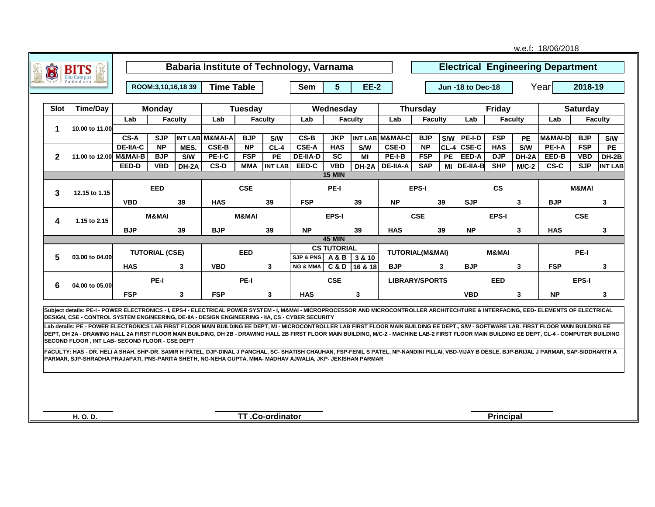|              |                                                                                                                                                                                                                                                                                                             |                       |                        |                  |                       |                |                 |                                                 |                             |                   |                            |                   |            |                           |                  |                | w.e.f: 18/06/2018                        |            |                |  |
|--------------|-------------------------------------------------------------------------------------------------------------------------------------------------------------------------------------------------------------------------------------------------------------------------------------------------------------|-----------------------|------------------------|------------------|-----------------------|----------------|-----------------|-------------------------------------------------|-----------------------------|-------------------|----------------------------|-------------------|------------|---------------------------|------------------|----------------|------------------------------------------|------------|----------------|--|
|              | BI                                                                                                                                                                                                                                                                                                          |                       |                        |                  |                       |                |                 | <b>Babaria Institute of Technology, Varnama</b> |                             |                   |                            |                   |            |                           |                  |                | <b>Electrical Engineering Department</b> |            |                |  |
|              |                                                                                                                                                                                                                                                                                                             |                       | ROOM: 3, 10, 16, 18 39 |                  | <b>Time Table</b>     |                |                 | <b>Sem</b>                                      | 5 <sup>5</sup>              | <b>EE-2</b>       |                            | Jun -18 to Dec-18 |            |                           |                  |                | Yearl                                    | 2018-19    |                |  |
| <b>Slot</b>  | <b>Time/Day</b>                                                                                                                                                                                                                                                                                             |                       | <b>Monday</b>          |                  |                       | <b>Tuesday</b> |                 |                                                 | Wednesday                   |                   |                            | <b>Thursday</b>   |            |                           | <b>Friday</b>    |                | <b>Saturday</b>                          |            |                |  |
|              |                                                                                                                                                                                                                                                                                                             | Lab                   |                        | <b>Faculty</b>   | Lab<br><b>Faculty</b> |                |                 | Lab                                             |                             | <b>Faculty</b>    | Lab                        | <b>Faculty</b>    |            | Lab                       |                  | <b>Faculty</b> | Lab                                      |            | <b>Faculty</b> |  |
| 1            | 10.00 to 11.00                                                                                                                                                                                                                                                                                              | CS-A                  | <b>SJP</b>             |                  | INT LAB M&MAI-A       | <b>BJP</b>     | S/W             | CS-B                                            | <b>JKP</b>                  |                   | INT LAB M&MAI-C            | <b>BJP</b>        | <b>S/W</b> | PE-I-D                    | <b>FSP</b>       | PE             | M&MAI-D                                  | <b>BJP</b> | S/W            |  |
|              |                                                                                                                                                                                                                                                                                                             | <b>DE-IIA-C</b>       | $\overline{NP}$        | MES.             | $CSE-B$               | <b>NP</b>      | $CL-4$          | CSE-A                                           | <b>HAS</b>                  | <b>S/W</b>        | <b>CSE-D</b>               | $\overline{NP}$   | $CL-4$     | $CSE-C$                   | <b>HAS</b>       | <b>S/W</b>     | PE-I-A                                   | <b>FSP</b> | <b>PE</b>      |  |
| $\mathbf{2}$ | 11.00 to 12.00 M&MAI-B                                                                                                                                                                                                                                                                                      |                       | <b>BJP</b>             | S/W              | PE-I-C                | <b>FSP</b>     | <b>PE</b>       | <b>DE-IIA-D</b>                                 | $\overline{sc}$             | ΜI                | PE-I-B                     | <b>FSP</b>        | <b>PE</b>  | EED-A                     | <b>DJP</b>       | DH-2A          | EED-B                                    | <b>VBD</b> | DH-2B          |  |
|              |                                                                                                                                                                                                                                                                                                             | EED-D                 | <b>VBD</b>             | DH-2A            | $CS-D$                | <b>MMA</b>     | <b>INT LAB</b>  | EED-C                                           | <b>VBD</b><br><b>15 MIN</b> | DH-2A             | <b>DE-IIA-A</b>            | <b>SAP</b>        | MI         | <b>DE-IIA-B</b>           | SHP              | $M/C-2$        | $CS-C$                                   | SJP        | <b>INT LAB</b> |  |
|              |                                                                                                                                                                                                                                                                                                             |                       | <b>EED</b>             |                  |                       | <b>CSE</b>     |                 |                                                 | PE-I                        |                   |                            | EPS-I             |            |                           | $\mathsf{cs}$    |                |                                          | M&MAI      |                |  |
| 3            | 12.15 to 1.15                                                                                                                                                                                                                                                                                               | <b>VBD</b><br>39      |                        | <b>HAS</b><br>39 |                       | <b>FSP</b>     | 39              |                                                 | <b>NP</b>                   | 39                |                            | <b>SJP</b>        |            | 3                         | <b>BJP</b>       |                | 3                                        |            |                |  |
|              |                                                                                                                                                                                                                                                                                                             | <b>M&amp;MAI</b>      |                        |                  | <b>M&amp;MAI</b>      |                |                 | <b>EPS-I</b>                                    |                             |                   |                            | <b>CSE</b>        |            |                           | EPS-I            |                |                                          | <b>CSE</b> |                |  |
| 4            | 1.15 to 2.15                                                                                                                                                                                                                                                                                                | <b>BJP</b>            |                        | 39               | <b>BJP</b><br>39      |                |                 |                                                 | <b>NP</b><br>39             |                   |                            | 39                |            | <b>NP</b><br>$\mathbf{3}$ |                  | <b>HAS</b>     |                                          |            |                |  |
|              |                                                                                                                                                                                                                                                                                                             |                       |                        |                  |                       |                |                 |                                                 | <b>45 MIN</b>               |                   | <b>HAS</b>                 |                   |            |                           |                  |                |                                          |            | 3              |  |
|              |                                                                                                                                                                                                                                                                                                             | <b>TUTORIAL (CSE)</b> |                        |                  | <b>EED</b>            |                |                 |                                                 | <b>CS TUTORIAL</b>          |                   | <b>TUTORIAL(M&amp;MAI)</b> |                   |            |                           | <b>M&amp;MAI</b> |                |                                          | PE-I       |                |  |
| 5            | 03.00 to 04.00                                                                                                                                                                                                                                                                                              | <b>HAS</b>            |                        | 3                | <b>VBD</b>            |                | $\mathbf{3}$    | <b>SJP &amp; PNS</b><br><b>NG &amp; MMA</b>     | <b>A&amp;B</b><br>C&D       | 3 & 10<br>16 & 18 | <b>BJP</b>                 |                   | 3          | <b>BJP</b>                |                  | 3              | <b>FSP</b>                               |            | 3              |  |
|              |                                                                                                                                                                                                                                                                                                             |                       |                        |                  |                       |                |                 |                                                 |                             |                   |                            |                   |            |                           |                  |                |                                          |            |                |  |
| 6            | 04.00 to 05.00                                                                                                                                                                                                                                                                                              |                       | PE-I                   |                  |                       | PE-I           |                 |                                                 | <b>CSE</b>                  |                   | <b>LIBRARY/SPORTS</b>      |                   |            |                           | <b>EED</b>       |                |                                          | EPS-I      |                |  |
|              |                                                                                                                                                                                                                                                                                                             | <b>FSP</b>            |                        | $\mathbf{3}$     | <b>FSP</b>            |                | $\mathbf{3}$    | <b>HAS</b>                                      |                             | 3                 |                            |                   |            | <b>VBD</b>                |                  | 3              | <b>NP</b>                                |            | 3              |  |
|              | Subject details: PE-I - POWER ELECTRONICS - I. EPS-I - ELECTRICAL POWER SYSTEM - I. M&MAI - MICROPROCESSOR AND MICROCONTROLLER ARCHITECHTURE & INTERFACING. EED- ELEMENTS OF ELECTRICAL<br>DESIGN, CSE - CONTROL SYSTEM ENGINEERING, DE-IIA - DESIGN ENGINEERING - IIA, CS - CYBER SECURITY                 |                       |                        |                  |                       |                |                 |                                                 |                             |                   |                            |                   |            |                           |                  |                |                                          |            |                |  |
|              | Lab details: PE - POWER ELECTRONICS LAB FIRST FLOOR MAIN BUILDING EE DEPT, MI - MICROCONTROLLER LAB FIRST FLOOR MAIN BUILDING EE DEPT., S/W - SOFTWARE LAB. FIRST FLOOR MAIN BUILDING EE                                                                                                                    |                       |                        |                  |                       |                |                 |                                                 |                             |                   |                            |                   |            |                           |                  |                |                                          |            |                |  |
|              | DEPT, DH 2A - DRAWING HALL 2A FIRST FLOOR MAIN BUILDING, DH 2B - DRAWING HALL 2B FIRST FLOOR MAIN BUILDING, M/C-2 - MACHINE LAB-2 FIRST FLOOR MAIN BUILDING EE DEPT, CL-4 - COMPUTER BUILDING<br>SECOND FLOOR, INT LAB-SECOND FLOOR - CSE DEPT                                                              |                       |                        |                  |                       |                |                 |                                                 |                             |                   |                            |                   |            |                           |                  |                |                                          |            |                |  |
|              | FACULTY: HAS - DR. HELI A SHAH, SHP-DR. SAMIR H PATEL, DJP-DINAL J PANCHAL, SC- SHATISH CHAUHAN, FSP-FENIL S PATEL, NP-NANDINI PILLAI, VBD-VIJAY B DESLE, BJP-BRIJAL J PARMAR, SAP-SIDDHARTH A<br>PARMAR, SJP-SHRADHA PRAJAPATI, PNS-PARITA SHETH, NG-NEHA GUPTA, MMA- MADHAV AJWALIA, JKP- JEKISHAN PARMAR |                       |                        |                  |                       |                |                 |                                                 |                             |                   |                            |                   |            |                           |                  |                |                                          |            |                |  |
|              |                                                                                                                                                                                                                                                                                                             |                       |                        |                  |                       |                |                 |                                                 |                             |                   |                            |                   |            |                           |                  |                |                                          |            |                |  |
|              |                                                                                                                                                                                                                                                                                                             |                       |                        |                  |                       |                |                 |                                                 |                             |                   |                            |                   |            |                           |                  |                |                                          |            |                |  |
|              |                                                                                                                                                                                                                                                                                                             |                       |                        |                  |                       |                |                 |                                                 |                             |                   |                            |                   |            |                           |                  |                |                                          |            |                |  |
|              |                                                                                                                                                                                                                                                                                                             |                       |                        |                  |                       |                |                 |                                                 |                             |                   |                            |                   |            |                           |                  |                |                                          |            |                |  |
|              | H. O. D.                                                                                                                                                                                                                                                                                                    |                       |                        |                  |                       |                | TT.Co-ordinator |                                                 |                             |                   |                            |                   |            |                           | <b>Principal</b> |                |                                          |            |                |  |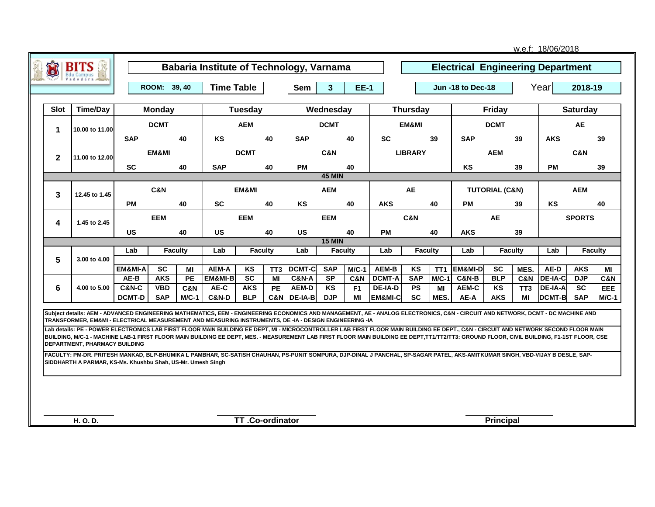|                 |                                                                                                                                                                                                                                                                                                                                                                                                                                                                                                                                                                                                                                                                                                              |                                   |                          |                           |                                          |                          |                 |                      |                         |                      |                               |                                       |                 |                                          |                           |                       | w.e.f: 18/06/2018               |                         |                |
|-----------------|--------------------------------------------------------------------------------------------------------------------------------------------------------------------------------------------------------------------------------------------------------------------------------------------------------------------------------------------------------------------------------------------------------------------------------------------------------------------------------------------------------------------------------------------------------------------------------------------------------------------------------------------------------------------------------------------------------------|-----------------------------------|--------------------------|---------------------------|------------------------------------------|--------------------------|-----------------|----------------------|-------------------------|----------------------|-------------------------------|---------------------------------------|-----------------|------------------------------------------|---------------------------|-----------------------|---------------------------------|-------------------------|----------------|
| $\bullet$       | <b>BITS</b><br><b>Edu Campus</b>                                                                                                                                                                                                                                                                                                                                                                                                                                                                                                                                                                                                                                                                             |                                   |                          |                           | Babaria Institute of Technology, Varnama |                          |                 |                      |                         |                      |                               |                                       |                 | <b>Electrical Engineering Department</b> |                           |                       |                                 |                         |                |
|                 |                                                                                                                                                                                                                                                                                                                                                                                                                                                                                                                                                                                                                                                                                                              |                                   | ROOM: 39, 40             |                           | <b>Time Table</b>                        |                          |                 | <b>Sem</b>           | 3 <sup>5</sup>          | <b>EE-1</b>          |                               |                                       |                 | <b>Jun -18 to Dec-18</b>                 |                           |                       | Year<br>2018-19                 |                         |                |
| <b>Slot</b>     | <b>Time/Day</b>                                                                                                                                                                                                                                                                                                                                                                                                                                                                                                                                                                                                                                                                                              |                                   | <b>Monday</b>            |                           |                                          | Tuesday                  |                 |                      | Wednesday               |                      |                               | <b>Thursday</b>                       |                 |                                          | Friday                    |                       | <b>Saturday</b>                 |                         |                |
| 1               | 10.00 to 11.00                                                                                                                                                                                                                                                                                                                                                                                                                                                                                                                                                                                                                                                                                               |                                   | <b>DCMT</b>              |                           | <b>AEM</b>                               |                          |                 |                      | <b>DCMT</b>             |                      |                               | EM&MI                                 |                 |                                          | <b>DCMT</b>               |                       |                                 | <b>AE</b>               |                |
|                 |                                                                                                                                                                                                                                                                                                                                                                                                                                                                                                                                                                                                                                                                                                              | <b>SAP</b><br>40                  |                          |                           | KS                                       |                          | 40              | <b>SAP</b>           |                         | 40                   | <b>SC</b>                     |                                       | 39              | <b>SAP</b>                               |                           | 39                    | <b>AKS</b>                      |                         | 39             |
| $\mathbf{2}$    | 11.00 to 12.00                                                                                                                                                                                                                                                                                                                                                                                                                                                                                                                                                                                                                                                                                               | EM&MI                             |                          |                           |                                          | <b>DCMT</b>              |                 |                      | C&N                     |                      |                               | <b>LIBRARY</b>                        |                 |                                          | <b>AEM</b>                |                       |                                 | <b>C&amp;N</b>          |                |
| <b>SC</b><br>40 |                                                                                                                                                                                                                                                                                                                                                                                                                                                                                                                                                                                                                                                                                                              |                                   |                          | <b>SAP</b>                |                                          | 40                       | <b>PM</b>       |                      | 40                      |                      |                               |                                       | <b>KS</b>       |                                          | 39                        | <b>PM</b>             |                                 | 39                      |                |
|                 |                                                                                                                                                                                                                                                                                                                                                                                                                                                                                                                                                                                                                                                                                                              |                                   |                          |                           |                                          |                          |                 |                      | <b>45 MIN</b>           |                      |                               |                                       |                 |                                          |                           |                       |                                 |                         |                |
| 3               | 12.45 to 1.45                                                                                                                                                                                                                                                                                                                                                                                                                                                                                                                                                                                                                                                                                                | C&N                               |                          |                           |                                          | EM&MI                    |                 |                      | <b>AEM</b>              |                      |                               | AE                                    |                 |                                          | <b>TUTORIAL (C&amp;N)</b> |                       |                                 | <b>AEM</b>              |                |
|                 |                                                                                                                                                                                                                                                                                                                                                                                                                                                                                                                                                                                                                                                                                                              | PM                                |                          | 40                        | <b>SC</b>                                |                          | 40              | KS                   |                         | 40                   | <b>AKS</b>                    |                                       | 40              | PM                                       |                           | 39                    | KS                              |                         | 40             |
| 4               | 1.45 to 2.45                                                                                                                                                                                                                                                                                                                                                                                                                                                                                                                                                                                                                                                                                                 | <b>EEM</b>                        |                          |                           |                                          | <b>EEM</b>               |                 |                      | <b>EEM</b>              |                      | <b>C&amp;N</b>                |                                       | <b>AE</b>       |                                          | <b>SPORTS</b>             |                       |                                 |                         |                |
|                 |                                                                                                                                                                                                                                                                                                                                                                                                                                                                                                                                                                                                                                                                                                              | <b>US</b>                         |                          | 40                        | <b>US</b>                                |                          | 40              | <b>US</b>            |                         | 40                   | <b>PM</b>                     |                                       | 40              | <b>AKS</b>                               |                           | 39                    |                                 |                         |                |
|                 |                                                                                                                                                                                                                                                                                                                                                                                                                                                                                                                                                                                                                                                                                                              | Lab                               |                          | <b>Faculty</b>            | Lab                                      |                          | Faculty         | Lab                  | <b>15 MIN</b>           | <b>Faculty</b>       | Lab                           | <b>Faculty</b>                        |                 | Lab                                      |                           | <b>Faculty</b>        | Lab                             |                         | <b>Faculty</b> |
| 5               | 3.00 to 4.00                                                                                                                                                                                                                                                                                                                                                                                                                                                                                                                                                                                                                                                                                                 |                                   |                          |                           |                                          |                          |                 |                      |                         |                      |                               |                                       |                 |                                          |                           |                       |                                 |                         |                |
|                 |                                                                                                                                                                                                                                                                                                                                                                                                                                                                                                                                                                                                                                                                                                              | EM&MI-A                           | <b>SC</b>                | MI                        | AEM-A                                    | ΚS                       | TT <sub>3</sub> | DCMT-C               | <b>SAP</b>              | $M/C-1$              | <b>AEM-B</b>                  | KS                                    | TT <sub>1</sub> | <b>EM&amp;MI-D</b>                       | <b>SC</b>                 | MES.                  | AE-D                            | <b>AKS</b>              | МI             |
|                 |                                                                                                                                                                                                                                                                                                                                                                                                                                                                                                                                                                                                                                                                                                              | AE-B                              | <b>AKS</b>               | <b>PE</b>                 | EM&MI-B                                  | $\overline{\mathsf{sc}}$ | MI              | <b>C&amp;N-A</b>     | <b>SP</b>               | C&N                  | <b>DCMT-A</b>                 | <b>SAP</b>                            | $M/C-1$         | <b>C&amp;N-B</b>                         | <b>BLP</b>                | C&N                   | <b>DE-IA-C</b>                  | <b>DJP</b>              | C&N            |
| 6               | 4.00 to 5.00                                                                                                                                                                                                                                                                                                                                                                                                                                                                                                                                                                                                                                                                                                 | <b>C&amp;N-C</b><br><b>DCMT-D</b> | <b>VBD</b><br><b>SAP</b> | <b>C&amp;N</b><br>$M/C-1$ | AE-C<br><b>C&amp;N-D</b>                 | <b>AKS</b><br><b>BLP</b> | PE              | AEM-D<br>C&N DE-IA-B | <b>KS</b><br><b>DJP</b> | F <sub>1</sub><br>MI | DE-IA-D<br><b>EM&amp;MI-C</b> | <b>PS</b><br>$\overline{\mathsf{sc}}$ | МI<br>MES.      | AEM-C<br>AE-A                            | KS<br><b>AKS</b>          | TT <sub>3</sub><br>МI | <b>DE-IA-A</b><br><b>DCMT-B</b> | <b>SC</b><br><b>SAP</b> | EEE<br>$M/C-1$ |
|                 |                                                                                                                                                                                                                                                                                                                                                                                                                                                                                                                                                                                                                                                                                                              |                                   |                          |                           |                                          |                          |                 |                      |                         |                      |                               |                                       |                 |                                          |                           |                       |                                 |                         |                |
|                 | Subject details: AEM - ADVANCED ENGINEERING MATHEMATICS, EEM - ENGINEERING ECONOMICS AND MANAGEMENT, AE - ANALOG ELECTRONICS, C&N - CIRCUIT AND NETWORK, DCMT - DC MACHINE AND<br>TRANSFORMER, EM&MI - ELECTRICAL MEASUREMENT AND MEASURING INSTRUMENTS, DE -IA - DESIGN ENGINEERING -IA<br>Lab details: PE - POWER ELECTRONICS LAB FIRST FLOOR MAIN BUILDING EE DEPT, MI - MICROCONTROLLER LAB FIRST FLOOR MAIN BUILDING EE DEPT., C&N - CIRCUIT AND NETWORK SECOND FLOOR MAIN<br>BUILDING, M/C-1 - MACHINE LAB-1 FIRST FLOOR MAIN BUILDING EE DEPT, MES. - MEASUREMENT LAB FIRST FLOOR MAIN BUILDING EE DEPT,TT1/TT2/TT3: GROUND FLOOR, CIVIL BUILDING, F1-1ST FLOOR, CSE<br>DEPARTMENT, PHARMACY BUILDING |                                   |                          |                           |                                          |                          |                 |                      |                         |                      |                               |                                       |                 |                                          |                           |                       |                                 |                         |                |
|                 | FACULTY: PM-DR. PRITESH MANKAD, BLP-BHUMIKA L PAMBHAR, SC-SATISH CHAUHAN, PS-PUNIT SOMPURA, DJP-DINAL J PANCHAL, SP-SAGAR PATEL, AKS-AMITKUMAR SINGH, VBD-VIJAY B DESLE, SAP-<br>SIDDHARTH A PARMAR, KS-Ms. Khushbu Shah, US-Mr. Umesh Singh                                                                                                                                                                                                                                                                                                                                                                                                                                                                 |                                   |                          |                           |                                          |                          |                 |                      |                         |                      |                               |                                       |                 |                                          |                           |                       |                                 |                         |                |
|                 |                                                                                                                                                                                                                                                                                                                                                                                                                                                                                                                                                                                                                                                                                                              |                                   |                          |                           |                                          |                          |                 |                      |                         |                      |                               |                                       |                 |                                          |                           |                       |                                 |                         |                |
|                 | H. O. D.                                                                                                                                                                                                                                                                                                                                                                                                                                                                                                                                                                                                                                                                                                     |                                   |                          |                           |                                          | TT.Co-ordinator          |                 |                      |                         |                      |                               |                                       |                 |                                          | <b>Principal</b>          |                       |                                 |                         |                |